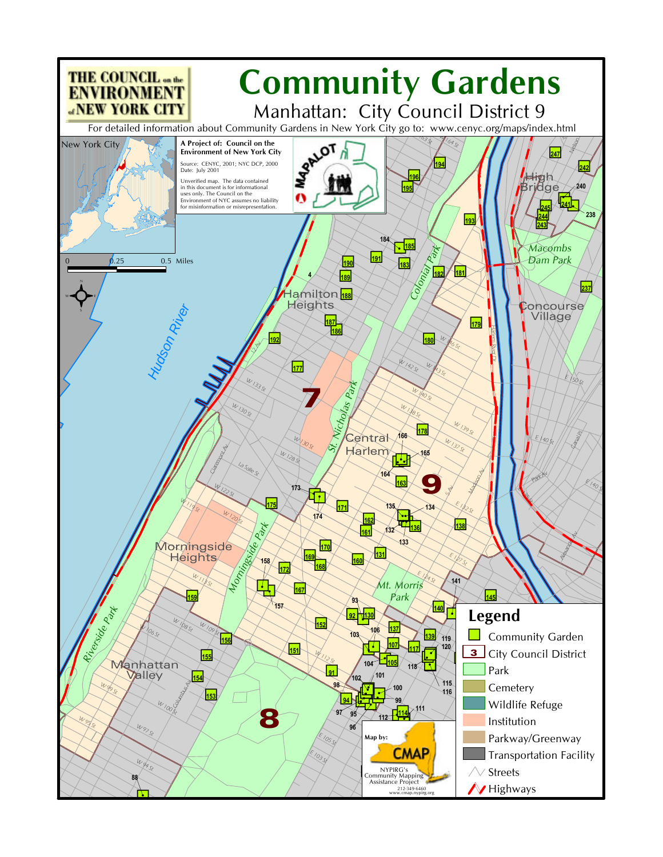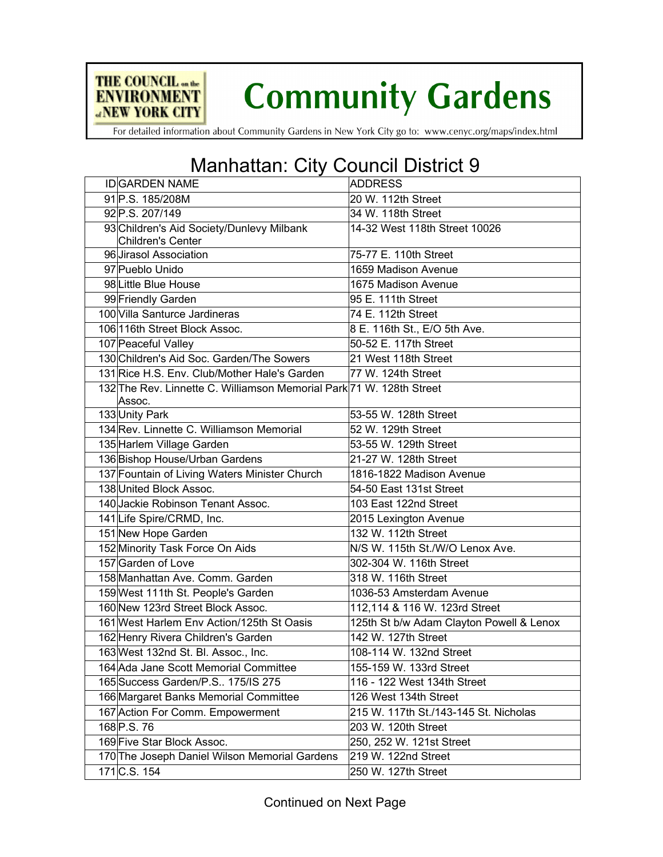

## **Community Gardens**

For detailed information about Community Gardens in New York City go to: www.cenyc.org/maps/index.html

## Manhattan: City Council District 9

| <b>IDGARDEN NAME</b>                                                           | <b>ADDRESS</b>                           |
|--------------------------------------------------------------------------------|------------------------------------------|
| 91 P.S. 185/208M                                                               | 20 W. 112th Street                       |
| 92 P.S. 207/149                                                                | 34 W. 118th Street                       |
|                                                                                |                                          |
| 93 Children's Aid Society/Dunlevy Milbank<br>Children's Center                 | 14-32 West 118th Street 10026            |
| 96 Jirasol Association                                                         | 75-77 E. 110th Street                    |
| 97 Pueblo Unido                                                                | 1659 Madison Avenue                      |
| 98 Little Blue House                                                           | 1675 Madison Avenue                      |
| 99 Friendly Garden                                                             | 95 E. 111th Street                       |
| 100 Villa Santurce Jardineras                                                  | 74 E. 112th Street                       |
| 106116th Street Block Assoc.                                                   | 8 E. 116th St., E/O 5th Ave.             |
| 107 Peaceful Valley                                                            | 50-52 E. 117th Street                    |
| 130 Children's Aid Soc. Garden/The Sowers                                      | 21 West 118th Street                     |
| 131 Rice H.S. Env. Club/Mother Hale's Garden                                   | 77 W. 124th Street                       |
| 132 The Rev. Linnette C. Williamson Memorial Park 71 W. 128th Street<br>Assoc. |                                          |
| 133 Unity Park                                                                 | 53-55 W. 128th Street                    |
| 134 Rev. Linnette C. Williamson Memorial                                       | 52 W. 129th Street                       |
| 135 Harlem Village Garden                                                      | 53-55 W. 129th Street                    |
| 136 Bishop House/Urban Gardens                                                 | 21-27 W. 128th Street                    |
| 137 Fountain of Living Waters Minister Church                                  | 1816-1822 Madison Avenue                 |
| 138 United Block Assoc.                                                        | 54-50 East 131st Street                  |
| 140 Jackie Robinson Tenant Assoc.                                              | 103 East 122nd Street                    |
| 141 Life Spire/CRMD, Inc.                                                      | 2015 Lexington Avenue                    |
| 151 New Hope Garden                                                            | 132 W. 112th Street                      |
| 152 Minority Task Force On Aids                                                | N/S W. 115th St./W/O Lenox Ave.          |
| 157 Garden of Love                                                             | 302-304 W. 116th Street                  |
| 158 Manhattan Ave. Comm. Garden                                                | 318 W. 116th Street                      |
| 159 West 111th St. People's Garden                                             | 1036-53 Amsterdam Avenue                 |
| 160 New 123rd Street Block Assoc.                                              | 112,114 & 116 W. 123rd Street            |
| 161 West Harlem Env Action/125th St Oasis                                      | 125th St b/w Adam Clayton Powell & Lenox |
| 162 Henry Rivera Children's Garden                                             | 142 W. 127th Street                      |
| 163 West 132nd St. Bl. Assoc., Inc.                                            | 108-114 W. 132nd Street                  |
| 164 Ada Jane Scott Memorial Committee                                          | 155-159 W. 133rd Street                  |
| 165 Success Garden/P.S 175/IS 275                                              | 116 - 122 West 134th Street              |
| 166 Margaret Banks Memorial Committee                                          | 126 West 134th Street                    |
| 167 Action For Comm. Empowerment                                               | 215 W. 117th St./143-145 St. Nicholas    |
| 168 P.S. 76                                                                    | 203 W. 120th Street                      |
| 169 Five Star Block Assoc.                                                     | 250, 252 W. 121st Street                 |
| 170 The Joseph Daniel Wilson Memorial Gardens                                  | 219 W. 122nd Street                      |
| 171 C.S. 154                                                                   | 250 W. 127th Street                      |